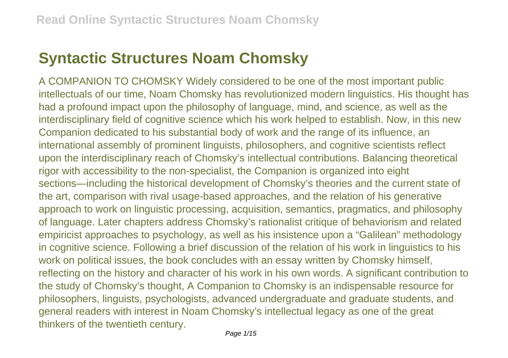## **Syntactic Structures Noam Chomsky**

A COMPANION TO CHOMSKY Widely considered to be one of the most important public intellectuals of our time, Noam Chomsky has revolutionized modern linguistics. His thought has had a profound impact upon the philosophy of language, mind, and science, as well as the interdisciplinary field of cognitive science which his work helped to establish. Now, in this new Companion dedicated to his substantial body of work and the range of its influence, an international assembly of prominent linguists, philosophers, and cognitive scientists reflect upon the interdisciplinary reach of Chomsky's intellectual contributions. Balancing theoretical rigor with accessibility to the non-specialist, the Companion is organized into eight sections—including the historical development of Chomsky's theories and the current state of the art, comparison with rival usage-based approaches, and the relation of his generative approach to work on linguistic processing, acquisition, semantics, pragmatics, and philosophy of language. Later chapters address Chomsky's rationalist critique of behaviorism and related empiricist approaches to psychology, as well as his insistence upon a "Galilean" methodology in cognitive science. Following a brief discussion of the relation of his work in linguistics to his work on political issues, the book concludes with an essay written by Chomsky himself, reflecting on the history and character of his work in his own words. A significant contribution to the study of Chomsky's thought, A Companion to Chomsky is an indispensable resource for philosophers, linguists, psychologists, advanced undergraduate and graduate students, and general readers with interest in Noam Chomsky's intellectual legacy as one of the great thinkers of the twentieth century.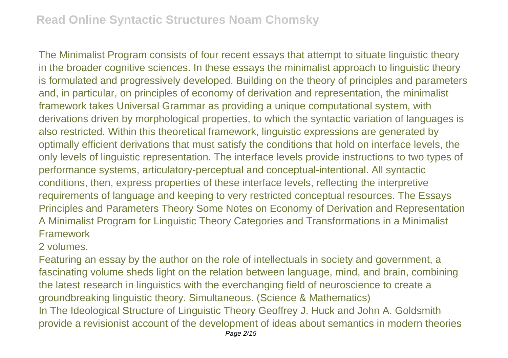The Minimalist Program consists of four recent essays that attempt to situate linguistic theory in the broader cognitive sciences. In these essays the minimalist approach to linguistic theory is formulated and progressively developed. Building on the theory of principles and parameters and, in particular, on principles of economy of derivation and representation, the minimalist framework takes Universal Grammar as providing a unique computational system, with derivations driven by morphological properties, to which the syntactic variation of languages is also restricted. Within this theoretical framework, linguistic expressions are generated by optimally efficient derivations that must satisfy the conditions that hold on interface levels, the only levels of linguistic representation. The interface levels provide instructions to two types of performance systems, articulatory-perceptual and conceptual-intentional. All syntactic conditions, then, express properties of these interface levels, reflecting the interpretive requirements of language and keeping to very restricted conceptual resources. The Essays Principles and Parameters Theory Some Notes on Economy of Derivation and Representation A Minimalist Program for Linguistic Theory Categories and Transformations in a Minimalist Framework

## 2 volumes.

Featuring an essay by the author on the role of intellectuals in society and government, a fascinating volume sheds light on the relation between language, mind, and brain, combining the latest research in linguistics with the everchanging field of neuroscience to create a groundbreaking linguistic theory. Simultaneous. (Science & Mathematics) In The Ideological Structure of Linguistic Theory Geoffrey J. Huck and John A. Goldsmith provide a revisionist account of the development of ideas about semantics in modern theories Page 2/15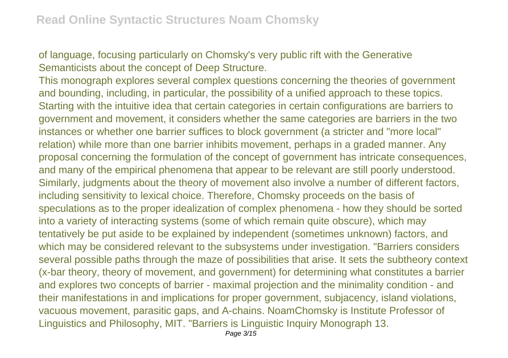of language, focusing particularly on Chomsky's very public rift with the Generative Semanticists about the concept of Deep Structure.

This monograph explores several complex questions concerning the theories of government and bounding, including, in particular, the possibility of a unified approach to these topics. Starting with the intuitive idea that certain categories in certain configurations are barriers to government and movement, it considers whether the same categories are barriers in the two instances or whether one barrier suffices to block government (a stricter and "more local" relation) while more than one barrier inhibits movement, perhaps in a graded manner. Any proposal concerning the formulation of the concept of government has intricate consequences, and many of the empirical phenomena that appear to be relevant are still poorly understood. Similarly, judgments about the theory of movement also involve a number of different factors, including sensitivity to lexical choice. Therefore, Chomsky proceeds on the basis of speculations as to the proper idealization of complex phenomena - how they should be sorted into a variety of interacting systems (some of which remain quite obscure), which may tentatively be put aside to be explained by independent (sometimes unknown) factors, and which may be considered relevant to the subsystems under investigation. "Barriers considers several possible paths through the maze of possibilities that arise. It sets the subtheory context (x-bar theory, theory of movement, and government) for determining what constitutes a barrier and explores two concepts of barrier - maximal projection and the minimality condition - and their manifestations in and implications for proper government, subjacency, island violations, vacuous movement, parasitic gaps, and A-chains. NoamChomsky is Institute Professor of Linguistics and Philosophy, MIT. "Barriers is Linguistic Inquiry Monograph 13.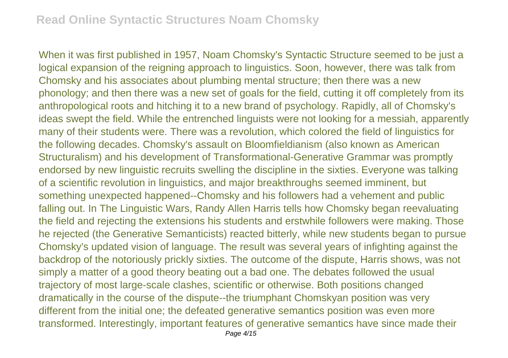When it was first published in 1957, Noam Chomsky's Syntactic Structure seemed to be just a logical expansion of the reigning approach to linguistics. Soon, however, there was talk from Chomsky and his associates about plumbing mental structure; then there was a new phonology; and then there was a new set of goals for the field, cutting it off completely from its anthropological roots and hitching it to a new brand of psychology. Rapidly, all of Chomsky's ideas swept the field. While the entrenched linguists were not looking for a messiah, apparently many of their students were. There was a revolution, which colored the field of linguistics for the following decades. Chomsky's assault on Bloomfieldianism (also known as American Structuralism) and his development of Transformational-Generative Grammar was promptly endorsed by new linguistic recruits swelling the discipline in the sixties. Everyone was talking of a scientific revolution in linguistics, and major breakthroughs seemed imminent, but something unexpected happened--Chomsky and his followers had a vehement and public falling out. In The Linguistic Wars, Randy Allen Harris tells how Chomsky began reevaluating the field and rejecting the extensions his students and erstwhile followers were making. Those he rejected (the Generative Semanticists) reacted bitterly, while new students began to pursue Chomsky's updated vision of language. The result was several years of infighting against the backdrop of the notoriously prickly sixties. The outcome of the dispute, Harris shows, was not simply a matter of a good theory beating out a bad one. The debates followed the usual trajectory of most large-scale clashes, scientific or otherwise. Both positions changed dramatically in the course of the dispute--the triumphant Chomskyan position was very different from the initial one; the defeated generative semantics position was even more transformed. Interestingly, important features of generative semantics have since made their Page 4/15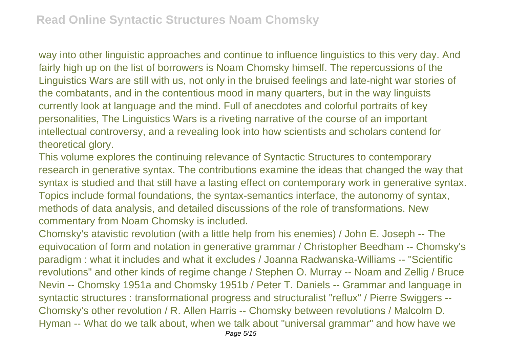way into other linguistic approaches and continue to influence linguistics to this very day. And fairly high up on the list of borrowers is Noam Chomsky himself. The repercussions of the Linguistics Wars are still with us, not only in the bruised feelings and late-night war stories of the combatants, and in the contentious mood in many quarters, but in the way linguists currently look at language and the mind. Full of anecdotes and colorful portraits of key personalities, The Linguistics Wars is a riveting narrative of the course of an important intellectual controversy, and a revealing look into how scientists and scholars contend for theoretical glory.

This volume explores the continuing relevance of Syntactic Structures to contemporary research in generative syntax. The contributions examine the ideas that changed the way that syntax is studied and that still have a lasting effect on contemporary work in generative syntax. Topics include formal foundations, the syntax-semantics interface, the autonomy of syntax, methods of data analysis, and detailed discussions of the role of transformations. New commentary from Noam Chomsky is included.

Chomsky's atavistic revolution (with a little help from his enemies) / John E. Joseph -- The equivocation of form and notation in generative grammar / Christopher Beedham -- Chomsky's paradigm : what it includes and what it excludes / Joanna Radwanska-Williams -- "Scientific revolutions" and other kinds of regime change / Stephen O. Murray -- Noam and Zellig / Bruce Nevin -- Chomsky 1951a and Chomsky 1951b / Peter T. Daniels -- Grammar and language in syntactic structures : transformational progress and structuralist "reflux" / Pierre Swiggers --Chomsky's other revolution / R. Allen Harris -- Chomsky between revolutions / Malcolm D. Hyman -- What do we talk about, when we talk about "universal grammar" and how have we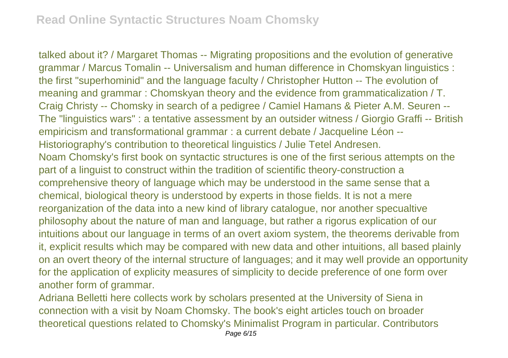talked about it? / Margaret Thomas -- Migrating propositions and the evolution of generative grammar / Marcus Tomalin -- Universalism and human difference in Chomskyan linguistics : the first "superhominid" and the language faculty / Christopher Hutton -- The evolution of meaning and grammar : Chomskyan theory and the evidence from grammaticalization / T. Craig Christy -- Chomsky in search of a pedigree / Camiel Hamans & Pieter A.M. Seuren -- The "linguistics wars" : a tentative assessment by an outsider witness / Giorgio Graffi -- British empiricism and transformational grammar : a current debate / Jacqueline Léon -- Historiography's contribution to theoretical linguistics / Julie Tetel Andresen. Noam Chomsky's first book on syntactic structures is one of the first serious attempts on the part of a linguist to construct within the tradition of scientific theory-construction a comprehensive theory of language which may be understood in the same sense that a chemical, biological theory is understood by experts in those fields. It is not a mere reorganization of the data into a new kind of library catalogue, nor another specualtive philosophy about the nature of man and language, but rather a rigorus explication of our intuitions about our language in terms of an overt axiom system, the theorems derivable from it, explicit results which may be compared with new data and other intuitions, all based plainly on an overt theory of the internal structure of languages; and it may well provide an opportunity for the application of explicity measures of simplicity to decide preference of one form over another form of grammar.

Adriana Belletti here collects work by scholars presented at the University of Siena in connection with a visit by Noam Chomsky. The book's eight articles touch on broader theoretical questions related to Chomsky's Minimalist Program in particular. Contributors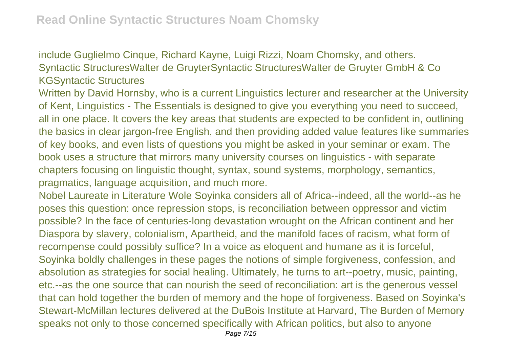include Guglielmo Cinque, Richard Kayne, Luigi Rizzi, Noam Chomsky, and others. Syntactic StructuresWalter de GruyterSyntactic StructuresWalter de Gruyter GmbH & Co KGSyntactic Structures

Written by David Hornsby, who is a current Linguistics lecturer and researcher at the University of Kent, Linguistics - The Essentials is designed to give you everything you need to succeed, all in one place. It covers the key areas that students are expected to be confident in, outlining the basics in clear jargon-free English, and then providing added value features like summaries of key books, and even lists of questions you might be asked in your seminar or exam. The book uses a structure that mirrors many university courses on linguistics - with separate chapters focusing on linguistic thought, syntax, sound systems, morphology, semantics, pragmatics, language acquisition, and much more.

Nobel Laureate in Literature Wole Soyinka considers all of Africa--indeed, all the world--as he poses this question: once repression stops, is reconciliation between oppressor and victim possible? In the face of centuries-long devastation wrought on the African continent and her Diaspora by slavery, colonialism, Apartheid, and the manifold faces of racism, what form of recompense could possibly suffice? In a voice as eloquent and humane as it is forceful, Soyinka boldly challenges in these pages the notions of simple forgiveness, confession, and absolution as strategies for social healing. Ultimately, he turns to art--poetry, music, painting, etc.--as the one source that can nourish the seed of reconciliation: art is the generous vessel that can hold together the burden of memory and the hope of forgiveness. Based on Soyinka's Stewart-McMillan lectures delivered at the DuBois Institute at Harvard, The Burden of Memory speaks not only to those concerned specifically with African politics, but also to anyone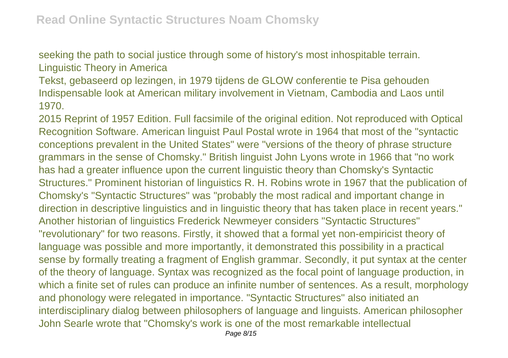seeking the path to social justice through some of history's most inhospitable terrain. Linguistic Theory in America

Tekst, gebaseerd op lezingen, in 1979 tijdens de GLOW conferentie te Pisa gehouden Indispensable look at American military involvement in Vietnam, Cambodia and Laos until 1970.

2015 Reprint of 1957 Edition. Full facsimile of the original edition. Not reproduced with Optical Recognition Software. American linguist Paul Postal wrote in 1964 that most of the "syntactic conceptions prevalent in the United States" were "versions of the theory of phrase structure grammars in the sense of Chomsky." British linguist John Lyons wrote in 1966 that "no work has had a greater influence upon the current linguistic theory than Chomsky's Syntactic Structures." Prominent historian of linguistics R. H. Robins wrote in 1967 that the publication of Chomsky's "Syntactic Structures" was "probably the most radical and important change in direction in descriptive linguistics and in linguistic theory that has taken place in recent years." Another historian of linguistics Frederick Newmeyer considers "Syntactic Structures" "revolutionary" for two reasons. Firstly, it showed that a formal yet non-empiricist theory of language was possible and more importantly, it demonstrated this possibility in a practical sense by formally treating a fragment of English grammar. Secondly, it put syntax at the center of the theory of language. Syntax was recognized as the focal point of language production, in which a finite set of rules can produce an infinite number of sentences. As a result, morphology and phonology were relegated in importance. "Syntactic Structures" also initiated an interdisciplinary dialog between philosophers of language and linguists. American philosopher John Searle wrote that "Chomsky's work is one of the most remarkable intellectual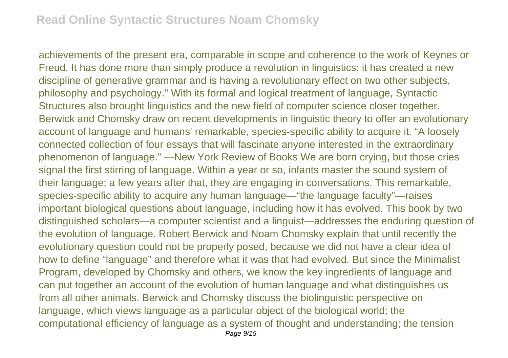achievements of the present era, comparable in scope and coherence to the work of Keynes or Freud. It has done more than simply produce a revolution in linguistics; it has created a new discipline of generative grammar and is having a revolutionary effect on two other subjects, philosophy and psychology." With its formal and logical treatment of language, Syntactic Structures also brought linguistics and the new field of computer science closer together. Berwick and Chomsky draw on recent developments in linguistic theory to offer an evolutionary account of language and humans' remarkable, species-specific ability to acquire it. "A loosely connected collection of four essays that will fascinate anyone interested in the extraordinary phenomenon of language." —New York Review of Books We are born crying, but those cries signal the first stirring of language. Within a year or so, infants master the sound system of their language; a few years after that, they are engaging in conversations. This remarkable, species-specific ability to acquire any human language—"the language faculty"—raises important biological questions about language, including how it has evolved. This book by two distinguished scholars—a computer scientist and a linguist—addresses the enduring question of the evolution of language. Robert Berwick and Noam Chomsky explain that until recently the evolutionary question could not be properly posed, because we did not have a clear idea of how to define "language" and therefore what it was that had evolved. But since the Minimalist Program, developed by Chomsky and others, we know the key ingredients of language and can put together an account of the evolution of human language and what distinguishes us from all other animals. Berwick and Chomsky discuss the biolinguistic perspective on language, which views language as a particular object of the biological world; the computational efficiency of language as a system of thought and understanding; the tension Page 9/15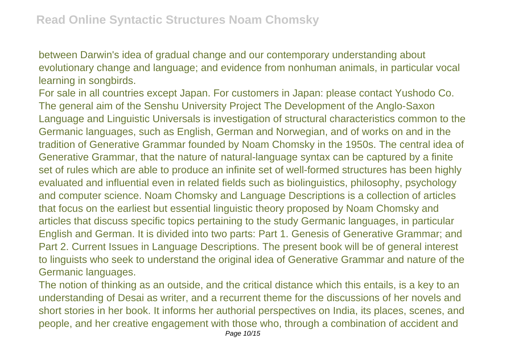between Darwin's idea of gradual change and our contemporary understanding about evolutionary change and language; and evidence from nonhuman animals, in particular vocal learning in songbirds.

For sale in all countries except Japan. For customers in Japan: please contact Yushodo Co. The general aim of the Senshu University Project The Development of the Anglo-Saxon Language and Linguistic Universals is investigation of structural characteristics common to the Germanic languages, such as English, German and Norwegian, and of works on and in the tradition of Generative Grammar founded by Noam Chomsky in the 1950s. The central idea of Generative Grammar, that the nature of natural-language syntax can be captured by a finite set of rules which are able to produce an infinite set of well-formed structures has been highly evaluated and influential even in related fields such as biolinguistics, philosophy, psychology and computer science. Noam Chomsky and Language Descriptions is a collection of articles that focus on the earliest but essential linguistic theory proposed by Noam Chomsky and articles that discuss specific topics pertaining to the study Germanic languages, in particular English and German. It is divided into two parts: Part 1. Genesis of Generative Grammar; and Part 2. Current Issues in Language Descriptions. The present book will be of general interest to linguists who seek to understand the original idea of Generative Grammar and nature of the Germanic languages.

The notion of thinking as an outside, and the critical distance which this entails, is a key to an understanding of Desai as writer, and a recurrent theme for the discussions of her novels and short stories in her book. It informs her authorial perspectives on India, its places, scenes, and people, and her creative engagement with those who, through a combination of accident and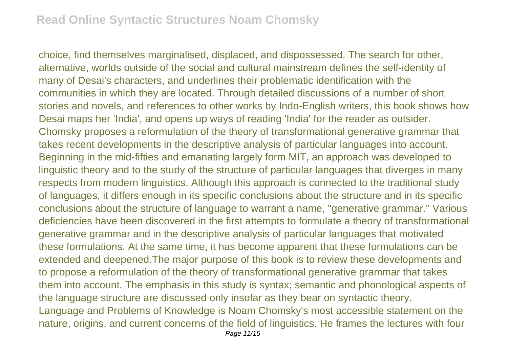choice, find themselves marginalised, displaced, and dispossessed. The search for other, alternative, worlds outside of the social and cultural mainstream defines the self-identity of many of Desai's characters, and underlines their problematic identification with the communities in which they are located. Through detailed discussions of a number of short stories and novels, and references to other works by Indo-English writers, this book shows how Desai maps her 'India', and opens up ways of reading 'India' for the reader as outsider. Chomsky proposes a reformulation of the theory of transformational generative grammar that takes recent developments in the descriptive analysis of particular languages into account. Beginning in the mid-fifties and emanating largely form MIT, an approach was developed to linguistic theory and to the study of the structure of particular languages that diverges in many respects from modern linguistics. Although this approach is connected to the traditional study of languages, it differs enough in its specific conclusions about the structure and in its specific conclusions about the structure of language to warrant a name, "generative grammar." Various deficiencies have been discovered in the first attempts to formulate a theory of transformational generative grammar and in the descriptive analysis of particular languages that motivated these formulations. At the same time, it has become apparent that these formulations can be extended and deepened.The major purpose of this book is to review these developments and to propose a reformulation of the theory of transformational generative grammar that takes them into account. The emphasis in this study is syntax; semantic and phonological aspects of the language structure are discussed only insofar as they bear on syntactic theory. Language and Problems of Knowledge is Noam Chomsky's most accessible statement on the nature, origins, and current concerns of the field of linguistics. He frames the lectures with four Page 11/15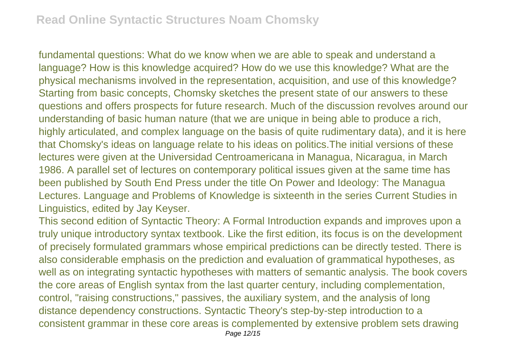fundamental questions: What do we know when we are able to speak and understand a language? How is this knowledge acquired? How do we use this knowledge? What are the physical mechanisms involved in the representation, acquisition, and use of this knowledge? Starting from basic concepts, Chomsky sketches the present state of our answers to these questions and offers prospects for future research. Much of the discussion revolves around our understanding of basic human nature (that we are unique in being able to produce a rich, highly articulated, and complex language on the basis of quite rudimentary data), and it is here that Chomsky's ideas on language relate to his ideas on politics.The initial versions of these lectures were given at the Universidad Centroamericana in Managua, Nicaragua, in March 1986. A parallel set of lectures on contemporary political issues given at the same time has been published by South End Press under the title On Power and Ideology: The Managua Lectures. Language and Problems of Knowledge is sixteenth in the series Current Studies in Linguistics, edited by Jay Keyser.

This second edition of Syntactic Theory: A Formal Introduction expands and improves upon a truly unique introductory syntax textbook. Like the first edition, its focus is on the development of precisely formulated grammars whose empirical predictions can be directly tested. There is also considerable emphasis on the prediction and evaluation of grammatical hypotheses, as well as on integrating syntactic hypotheses with matters of semantic analysis. The book covers the core areas of English syntax from the last quarter century, including complementation, control, "raising constructions," passives, the auxiliary system, and the analysis of long distance dependency constructions. Syntactic Theory's step-by-step introduction to a consistent grammar in these core areas is complemented by extensive problem sets drawing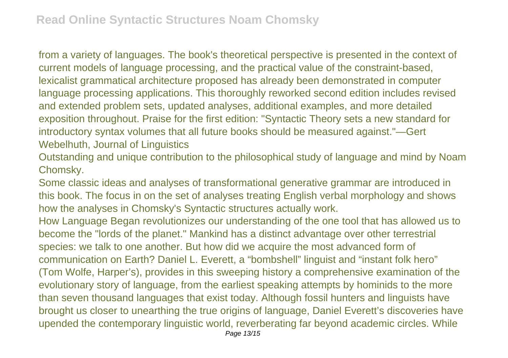from a variety of languages. The book's theoretical perspective is presented in the context of current models of language processing, and the practical value of the constraint-based, lexicalist grammatical architecture proposed has already been demonstrated in computer language processing applications. This thoroughly reworked second edition includes revised and extended problem sets, updated analyses, additional examples, and more detailed exposition throughout. Praise for the first edition: "Syntactic Theory sets a new standard for introductory syntax volumes that all future books should be measured against."—Gert Webelhuth, Journal of Linguistics

Outstanding and unique contribution to the philosophical study of language and mind by Noam Chomsky.

Some classic ideas and analyses of transformational generative grammar are introduced in this book. The focus in on the set of analyses treating English verbal morphology and shows how the analyses in Chomsky's Syntactic structures actually work.

How Language Began revolutionizes our understanding of the one tool that has allowed us to become the "lords of the planet." Mankind has a distinct advantage over other terrestrial species: we talk to one another. But how did we acquire the most advanced form of communication on Earth? Daniel L. Everett, a "bombshell" linguist and "instant folk hero" (Tom Wolfe, Harper's), provides in this sweeping history a comprehensive examination of the evolutionary story of language, from the earliest speaking attempts by hominids to the more than seven thousand languages that exist today. Although fossil hunters and linguists have brought us closer to unearthing the true origins of language, Daniel Everett's discoveries have upended the contemporary linguistic world, reverberating far beyond academic circles. While Page 13/15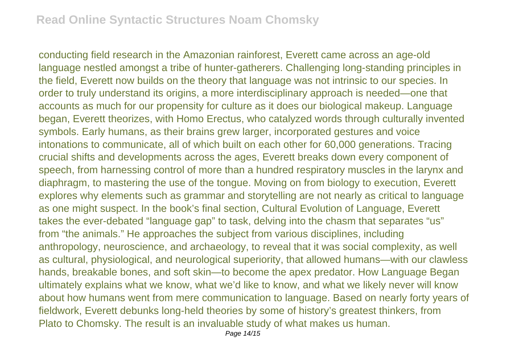conducting field research in the Amazonian rainforest, Everett came across an age-old language nestled amongst a tribe of hunter-gatherers. Challenging long-standing principles in the field, Everett now builds on the theory that language was not intrinsic to our species. In order to truly understand its origins, a more interdisciplinary approach is needed—one that accounts as much for our propensity for culture as it does our biological makeup. Language began, Everett theorizes, with Homo Erectus, who catalyzed words through culturally invented symbols. Early humans, as their brains grew larger, incorporated gestures and voice intonations to communicate, all of which built on each other for 60,000 generations. Tracing crucial shifts and developments across the ages, Everett breaks down every component of speech, from harnessing control of more than a hundred respiratory muscles in the larynx and diaphragm, to mastering the use of the tongue. Moving on from biology to execution, Everett explores why elements such as grammar and storytelling are not nearly as critical to language as one might suspect. In the book's final section, Cultural Evolution of Language, Everett takes the ever-debated "language gap" to task, delving into the chasm that separates "us" from "the animals." He approaches the subject from various disciplines, including anthropology, neuroscience, and archaeology, to reveal that it was social complexity, as well as cultural, physiological, and neurological superiority, that allowed humans—with our clawless hands, breakable bones, and soft skin—to become the apex predator. How Language Began ultimately explains what we know, what we'd like to know, and what we likely never will know about how humans went from mere communication to language. Based on nearly forty years of fieldwork, Everett debunks long-held theories by some of history's greatest thinkers, from Plato to Chomsky. The result is an invaluable study of what makes us human.